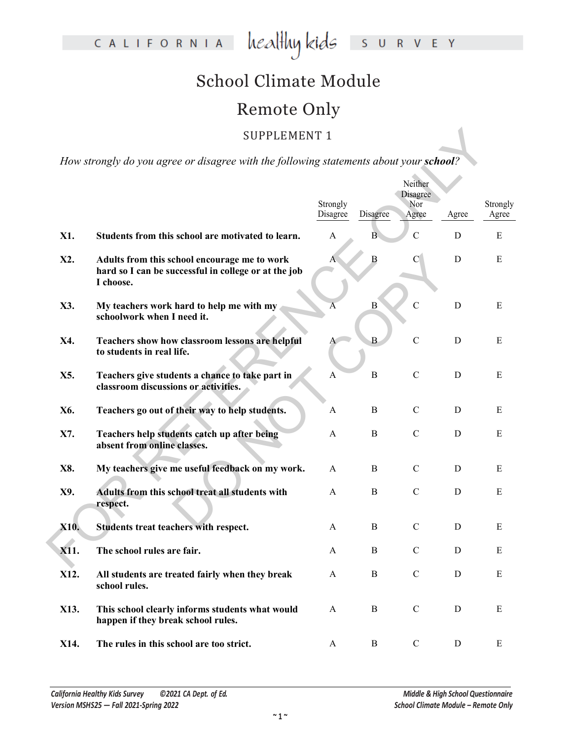## Remote Only

### SUPPLEMENT 1

|      | <b>SUPPLEMENT 1</b>                                                                                               |                      |                |                                     |             |                   |
|------|-------------------------------------------------------------------------------------------------------------------|----------------------|----------------|-------------------------------------|-------------|-------------------|
|      | How strongly do you agree or disagree with the following statements about your school?                            |                      |                |                                     |             |                   |
|      |                                                                                                                   | Strongly<br>Disagree | Disagree       | Neither<br>Disagree<br>Nor<br>Agree | Agree       | Strongly<br>Agree |
| X1.  | Students from this school are motivated to learn.                                                                 | $\mathbf{A}$         | $\overline{B}$ | $\overline{C}$                      | D           | Ε                 |
| X2.  | Adults from this school encourage me to work<br>hard so I can be successful in college or at the job<br>I choose. | A                    | $\, {\bf B}$   | C                                   | D           | Ε                 |
| X3.  | My teachers work hard to help me with my<br>schoolwork when I need it.                                            | A                    | B              | $\mathcal{C}$                       | D           | E                 |
| X4.  | Teachers show how classroom lessons are helpful<br>to students in real life.                                      | A                    | $\mathbf{B}$   | $\overline{C}$                      | D           | E                 |
| X5.  | Teachers give students a chance to take part in<br>classroom discussions or activities.                           | A                    | $\bf{B}$       | $\mathbf C$                         | D           | Ε                 |
| X6.  | Teachers go out of their way to help students.                                                                    | A                    | $\bf{B}$       | $\mathbf C$                         | D           | Ε                 |
| X7.  | Teachers help students catch up after being<br>absent from online classes.                                        | A                    | $\bf{B}$       | $\mathcal{C}$                       | D           | Ε                 |
| X8.  | My teachers give me useful feedback on my work.                                                                   | A                    | B              | $\mathbf C$                         | D           | Ε                 |
| X9.  | Adults from this school treat all students with<br>respect.                                                       | A                    | B              | $\mathbf C$                         | D           | Ε                 |
| X10. | Students treat teachers with respect.                                                                             | A                    | B              | $\mathbf C$                         | D           | E                 |
| X11. | The school rules are fair.                                                                                        | A                    | $\, {\bf B}$   | $\mathbf C$                         | ${\bf D}$   | Ε                 |
| X12. | All students are treated fairly when they break<br>school rules.                                                  | A                    | $\, {\bf B}$   | $\mathbf C$                         | $\mathbf D$ | ${\bf E}$         |
| X13. | This school clearly informs students what would<br>happen if they break school rules.                             | A                    | $\mathbf B$    | $\mathbf C$                         | $\mathbf D$ | Ε                 |
| X14. | The rules in this school are too strict.                                                                          | $\mathbf{A}$         | $\mathbf B$    | $\mathbf C$                         | $\mathbf D$ | E                 |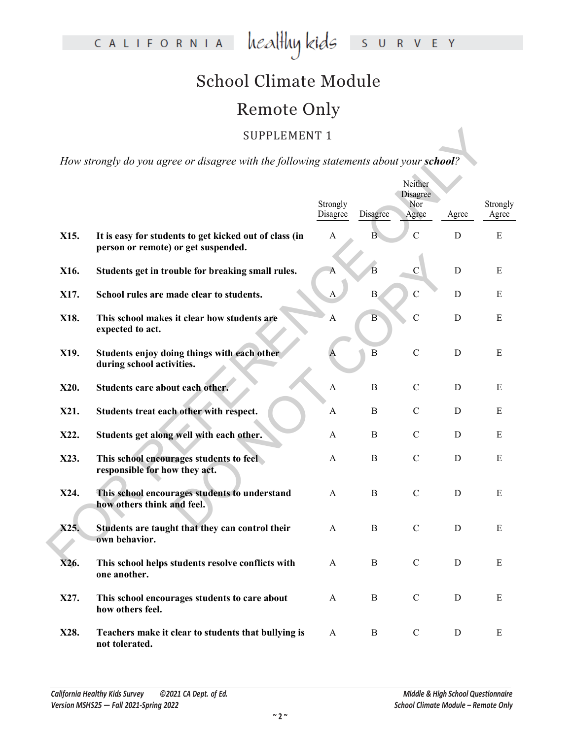## Remote Only

### SUPPLEMENT 1

|      | <b>SUPPLEMENT 1</b>                                                                           |                           |                |                                     |             |                   |
|------|-----------------------------------------------------------------------------------------------|---------------------------|----------------|-------------------------------------|-------------|-------------------|
|      | How strongly do you agree or disagree with the following statements about your school?        |                           |                |                                     |             |                   |
|      |                                                                                               | Strongly<br>Disagree      | Disagree       | Neither<br>Disagree<br>Nor<br>Agree | Agree       | Strongly<br>Agree |
| X15. | It is easy for students to get kicked out of class (in<br>person or remote) or get suspended. | $\boldsymbol{\mathsf{A}}$ | B              | $\overline{C}$                      | D           | ${\bf E}$         |
| X16. | Students get in trouble for breaking small rules.                                             | A                         | $\overline{B}$ | $\mathcal{C}$                       | $\mathbf D$ | E                 |
| X17. | School rules are made clear to students.                                                      |                           | $\mathbf{B}$   | $\mathcal{C}$                       | D           | Ε                 |
| X18. | This school makes it clear how students are<br>expected to act.                               | $\mathbf{A}$              | $\, {\bf B}$   | $\mathcal{C}$                       | $\mathbf D$ | Ε                 |
| X19. | Students enjoy doing things with each other<br>during school activities.                      |                           | $\bf{B}$       | $\mathcal{C}$                       | $\mathbf D$ | E                 |
| X20. | Students care about each other.                                                               | A                         | B              | $\mathcal{C}$                       | $\mathbf D$ | Ε                 |
| X21. | Students treat each other with respect.                                                       | A                         | B              | $\mathbf C$                         | D           | E                 |
| X22. | Students get along well with each other.                                                      | $\mathbf{A}$              | B              | $\mathcal{C}$                       | D           | ${\bf E}$         |
| X23. | This school encourages students to feel<br>responsible for how they act.                      | A                         | B              | $\mathcal{C}$                       | D           | Ε                 |
| X24. | This school encourages students to understand<br>how others think and feel.                   | A                         | B              | $\mathcal{C}$                       | D           | E                 |
| X25. | Students are taught that they can control their<br>own behavior.                              | A                         | B              | $\mathbf C$                         | D           | Ε                 |
| X26. | This school helps students resolve conflicts with<br>one another.                             | $\mathbf{A}$              | B              | $\mathbf C$                         | D           | E                 |
| X27. | This school encourages students to care about<br>how others feel.                             | $\mathbf{A}$              | $\bf{B}$       | $\mathbf C$                         | D           | Ε                 |
| X28. | Teachers make it clear to students that bullying is<br>not tolerated.                         | A                         | B              | $\mathcal{C}$                       | D           | E                 |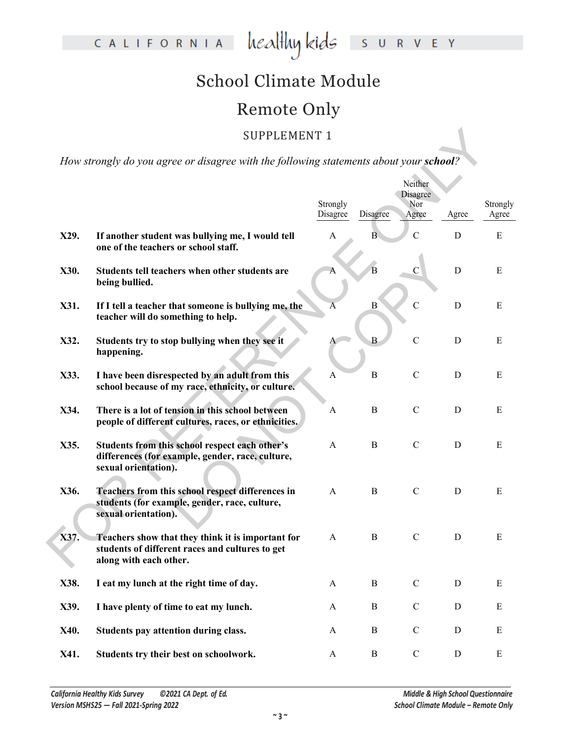## Remote Only

### SUPPLEMENT 1

|      | <b>SUPPLEMENT 1</b>                                                                                                            |                      |                |                |             |                   |
|------|--------------------------------------------------------------------------------------------------------------------------------|----------------------|----------------|----------------|-------------|-------------------|
|      | How strongly do you agree or disagree with the following statements about your school?                                         |                      |                |                |             |                   |
|      |                                                                                                                                |                      |                |                |             |                   |
|      |                                                                                                                                | Strongly<br>Disagree | Disagree       | Nor<br>Agree   | Agree       | Strongly<br>Agree |
| X29. | If another student was bullying me, I would tell<br>one of the teachers or school staff.                                       | $\mathbf{A}$         | $\overline{B}$ | $\overline{C}$ | D           | E                 |
| X30. | Students tell teachers when other students are<br>being bullied.                                                               | A                    | $\overline{B}$ | $\mathbf C$    | $\mathbf D$ | E                 |
| X31. | If I tell a teacher that someone is bullying me, the<br>teacher will do something to help.                                     | $\overline{A}$       | $\bf{B}$       | $\mathcal{C}$  | D           | E                 |
| X32. | Students try to stop bullying when they see it<br>happening.                                                                   | A                    | $\, {\bf B}$   | $\mathbf C$    | $\mathbf D$ | E                 |
| X33. | I have been disrespected by an adult from this<br>school because of my race, ethnicity, or culture.                            | A                    | $\bf{B}$       | $\mathcal{C}$  | D           | Ε                 |
| X34. | There is a lot of tension in this school between<br>people of different cultures, races, or ethnicities.                       | A                    | $\bf{B}$       | $\mathcal{C}$  | $\mathbf D$ | E                 |
| X35. | Students from this school respect each other's<br>differences (for example, gender, race, culture,<br>sexual orientation).     | $\mathbf{A}$         | $\bf{B}$       | $\mathbf C$    | D           | E                 |
| X36. | Teachers from this school respect differences in<br>students (for example, gender, race, culture,<br>sexual orientation).      | A                    | $\bf{B}$       | $\mathbf C$    | D           | E                 |
| X37. | Teachers show that they think it is important for<br>students of different races and cultures to get<br>along with each other. | A                    | B              | $\mathbf C$    | D           | E                 |
| X38. | I eat my lunch at the right time of day.                                                                                       | $\mathbf{A}$         | $\bf{B}$       | ${\bf C}$      | ${\bf D}$   | ${\bf E}$         |
| X39. | I have plenty of time to eat my lunch.                                                                                         | $\mathbf{A}$         | $\bf{B}$       | ${\bf C}$      | $\mathbf D$ | $\mathbf E$       |
| X40. | Students pay attention during class.                                                                                           | $\mathbf{A}$         | $\, {\bf B}$   | $\mathbf C$    | ${\bf D}$   | ${\bf E}$         |
| X41. | Students try their best on schoolwork.                                                                                         | $\mathbf{A}$         | $\, {\bf B}$   | ${\bf C}$      | $\mathbf D$ | ${\bf E}$         |